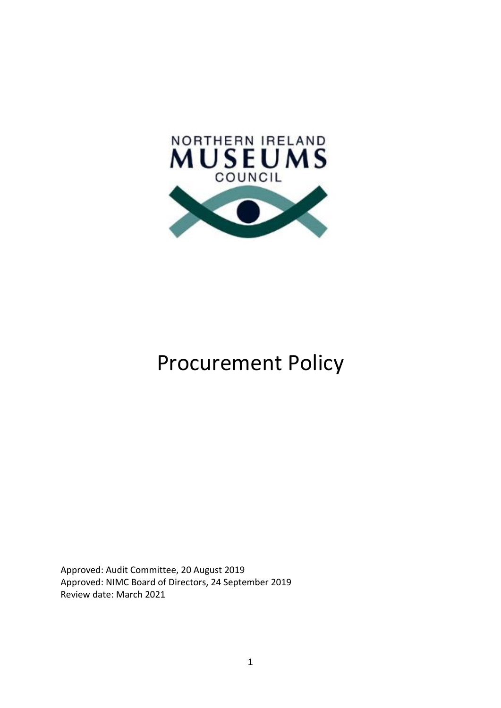

# Procurement Policy

Approved: Audit Committee, 20 August 2019 Approved: NIMC Board of Directors, 24 September 2019 Review date: March 2021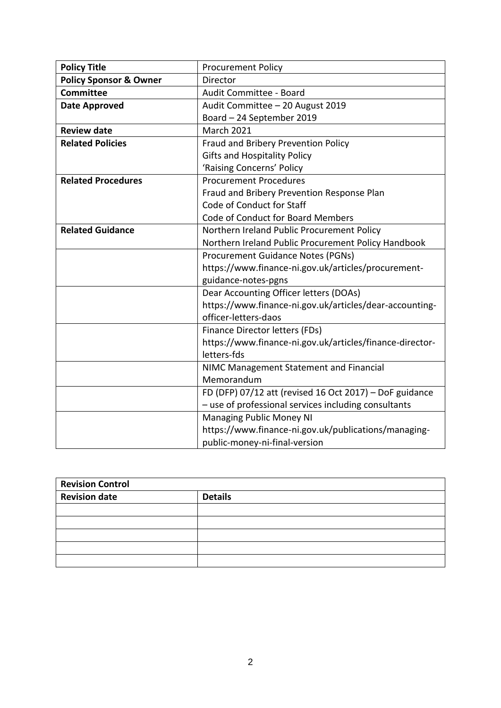| <b>Policy Title</b>               | <b>Procurement Policy</b>                                |  |
|-----------------------------------|----------------------------------------------------------|--|
| <b>Policy Sponsor &amp; Owner</b> | <b>Director</b>                                          |  |
| Committee                         | Audit Committee - Board                                  |  |
| <b>Date Approved</b>              | Audit Committee - 20 August 2019                         |  |
|                                   | Board - 24 September 2019                                |  |
| <b>Review date</b>                | <b>March 2021</b>                                        |  |
| <b>Related Policies</b>           | Fraud and Bribery Prevention Policy                      |  |
|                                   | <b>Gifts and Hospitality Policy</b>                      |  |
|                                   | 'Raising Concerns' Policy                                |  |
| <b>Related Procedures</b>         | <b>Procurement Procedures</b>                            |  |
|                                   | Fraud and Bribery Prevention Response Plan               |  |
|                                   | Code of Conduct for Staff                                |  |
|                                   | Code of Conduct for Board Members                        |  |
| <b>Related Guidance</b>           | Northern Ireland Public Procurement Policy               |  |
|                                   | Northern Ireland Public Procurement Policy Handbook      |  |
|                                   | Procurement Guidance Notes (PGNs)                        |  |
|                                   | https://www.finance-ni.gov.uk/articles/procurement-      |  |
|                                   | guidance-notes-pgns                                      |  |
|                                   | Dear Accounting Officer letters (DOAs)                   |  |
|                                   | https://www.finance-ni.gov.uk/articles/dear-accounting-  |  |
|                                   | officer-letters-daos                                     |  |
|                                   | Finance Director letters (FDs)                           |  |
|                                   | https://www.finance-ni.gov.uk/articles/finance-director- |  |
|                                   | letters-fds                                              |  |
|                                   | NIMC Management Statement and Financial                  |  |
|                                   | Memorandum                                               |  |
|                                   | FD (DFP) 07/12 att (revised 16 Oct 2017) - DoF guidance  |  |
|                                   | - use of professional services including consultants     |  |
|                                   | <b>Managing Public Money NI</b>                          |  |
|                                   | https://www.finance-ni.gov.uk/publications/managing-     |  |
|                                   | public-money-ni-final-version                            |  |

| <b>Revision Control</b> |                |  |
|-------------------------|----------------|--|
| <b>Revision date</b>    | <b>Details</b> |  |
|                         |                |  |
|                         |                |  |
|                         |                |  |
|                         |                |  |
|                         |                |  |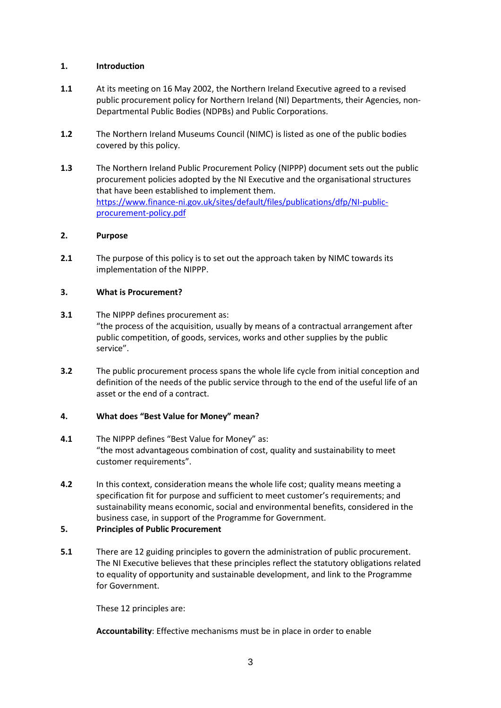# **1. Introduction**

- **1.1** At its meeting on 16 May 2002, the Northern Ireland Executive agreed to a revised public procurement policy for Northern Ireland (NI) Departments, their Agencies, non-Departmental Public Bodies (NDPBs) and Public Corporations.
- **1.2** The Northern Ireland Museums Council (NIMC) is listed as one of the public bodies covered by this policy.
- **1.3** The Northern Ireland Public Procurement Policy (NIPPP) document sets out the public procurement policies adopted by the NI Executive and the organisational structures that have been established to implement them. [https://www.finance-ni.gov.uk/sites/default/files/publications/dfp/NI-public](https://www.finance-ni.gov.uk/sites/default/files/publications/dfp/NI-public-procurement-policy.pdf)[procurement-policy.pdf](https://www.finance-ni.gov.uk/sites/default/files/publications/dfp/NI-public-procurement-policy.pdf)

# **2. Purpose**

**2.1** The purpose of this policy is to set out the approach taken by NIMC towards its implementation of the NIPPP.

# **3. What is Procurement?**

- **3.1** The NIPPP defines procurement as: "the process of the acquisition, usually by means of a contractual arrangement after public competition, of goods, services, works and other supplies by the public service".
- **3.2** The public procurement process spans the whole life cycle from initial conception and definition of the needs of the public service through to the end of the useful life of an asset or the end of a contract.

# **4. What does "Best Value for Money" mean?**

- **4.1** The NIPPP defines "Best Value for Money" as: "the most advantageous combination of cost, quality and sustainability to meet customer requirements".
- **4.2** In this context, consideration means the whole life cost; quality means meeting a specification fit for purpose and sufficient to meet customer's requirements; and sustainability means economic, social and environmental benefits, considered in the business case, in support of the Programme for Government.

# **5. Principles of Public Procurement**

**5.1** There are 12 guiding principles to govern the administration of public procurement. The NI Executive believes that these principles reflect the statutory obligations related to equality of opportunity and sustainable development, and link to the Programme for Government.

These 12 principles are:

**Accountability**: Effective mechanisms must be in place in order to enable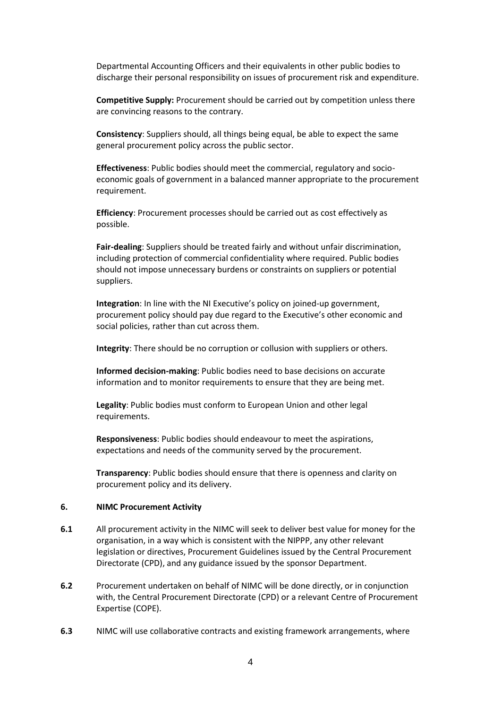Departmental Accounting Officers and their equivalents in other public bodies to discharge their personal responsibility on issues of procurement risk and expenditure.

**Competitive Supply:** Procurement should be carried out by competition unless there are convincing reasons to the contrary.

**Consistency**: Suppliers should, all things being equal, be able to expect the same general procurement policy across the public sector.

**Effectiveness**: Public bodies should meet the commercial, regulatory and socioeconomic goals of government in a balanced manner appropriate to the procurement requirement.

**Efficiency**: Procurement processes should be carried out as cost effectively as possible.

**Fair-dealing**: Suppliers should be treated fairly and without unfair discrimination, including protection of commercial confidentiality where required. Public bodies should not impose unnecessary burdens or constraints on suppliers or potential suppliers.

**Integration**: In line with the NI Executive's policy on joined-up government, procurement policy should pay due regard to the Executive's other economic and social policies, rather than cut across them.

**Integrity**: There should be no corruption or collusion with suppliers or others.

**Informed decision-making**: Public bodies need to base decisions on accurate information and to monitor requirements to ensure that they are being met.

**Legality**: Public bodies must conform to European Union and other legal requirements.

**Responsiveness**: Public bodies should endeavour to meet the aspirations, expectations and needs of the community served by the procurement.

**Transparency**: Public bodies should ensure that there is openness and clarity on procurement policy and its delivery.

#### **6. NIMC Procurement Activity**

- **6.1** All procurement activity in the NIMC will seek to deliver best value for money for the organisation, in a way which is consistent with the NIPPP, any other relevant legislation or directives, Procurement Guidelines issued by the Central Procurement Directorate (CPD), and any guidance issued by the sponsor Department.
- **6.2** Procurement undertaken on behalf of NIMC will be done directly, or in conjunction with, the Central Procurement Directorate (CPD) or a relevant Centre of Procurement Expertise (COPE).
- **6.3** NIMC will use collaborative contracts and existing framework arrangements, where